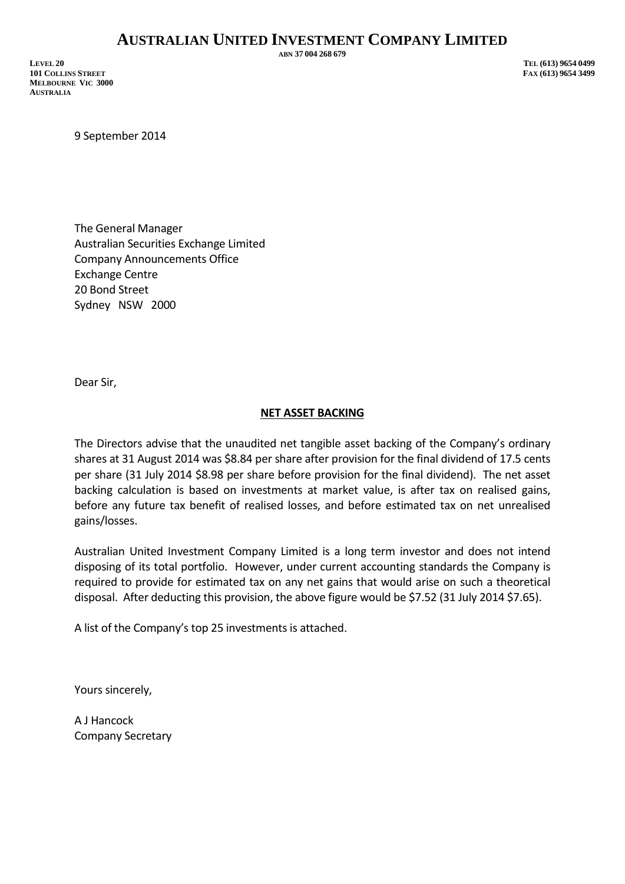## **AUSTRALIAN UNITED INVESTMENT COMPANY LIMITED**

**LEVEL 20 TEL (613) 9654 0499 101 COLLINS STREET FAX (613) 9654 3499 MELBOURNE VIC 3000 AUSTRALIA**

**ABN 37 004 268 679**

9 September 2014

The General Manager Australian Securities Exchange Limited Company Announcements Office Exchange Centre 20 Bond Street Sydney NSW 2000

Dear Sir,

## **NET ASSET BACKING**

The Directors advise that the unaudited net tangible asset backing of the Company's ordinary shares at 31 August 2014 was \$8.84 per share after provision for the final dividend of 17.5 cents per share (31 July 2014 \$8.98 per share before provision for the final dividend). The net asset backing calculation is based on investments at market value, is after tax on realised gains, before any future tax benefit of realised losses, and before estimated tax on net unrealised gains/losses.

Australian United Investment Company Limited is a long term investor and does not intend disposing of its total portfolio. However, under current accounting standards the Company is required to provide for estimated tax on any net gains that would arise on such a theoretical disposal. After deducting this provision, the above figure would be \$7.52 (31 July 2014 \$7.65).

A list of the Company's top 25 investments is attached.

Yours sincerely,

A J Hancock Company Secretary